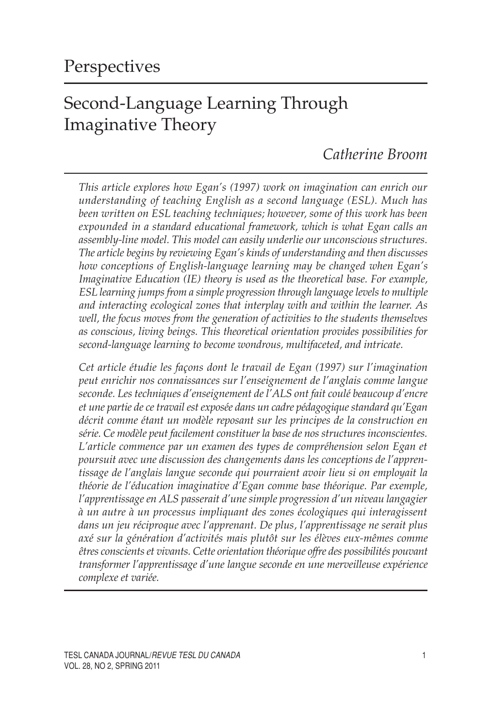# Second-Language Learning Through Imaginative Theory

# *Catherine Broom*

*This article explores how Egan's (1997) work on imagination can enrich our understanding of teaching English as a second language (ESL). Much has been written on ESL teaching techniques; however, some of this work has been expounded in a standard educational framework, which is what Egan calls an assembly-line model. This model can easily underlie our unconscious structures. The article begins by reviewing Egan's kinds of understanding and then discusses how conceptions of English-language learning may be changed when Egan's Imaginative Education (IE) theory is used as the theoretical base. For example, ESL learning jumps from a simple progression through language levels to multiple and interacting ecological zones that interplay with and within the learner. As well, the focus moves from the generation of activities to the students themselves as conscious, living beings. This theoretical orientation provides possibilities for second-language learning to become wondrous, multifaceted, and intricate.*

*Cet article étudie les façons dont le travail de Egan (1997) sur l'imagination peut enrichir nos connaissances sur l'enseignement de l'anglais comme langue seconde. Les techniques d'enseignement de l'ALS ont fait coulé beaucoup d'encre et une partie de ce travail est exposée dans un cadre pédagogique standard qu'Egan décrit comme étant un modèle reposant sur les principes de la construction en série. Ce modèle peut facilement constituer la base de nos structures inconscientes. L'article commence par un examen des types de compréhension selon Egan et poursuit avec une discussion des changements dans les conceptions de l'apprentissage de l'anglais langue seconde qui pourraient avoir lieu si on employait la théorie de l'éducation imaginative d'Egan comme base théorique. Par exemple, l'apprentissage en ALS passerait d'une simple progression d'un niveau langagier à un autre à un processus impliquant des zones écologiques qui interagissent dans un jeu réciproque avec l'apprenant. De plus, l'apprentissage ne serait plus axé sur la génération d'activités mais plutôt sur les élèves eux-mêmes comme êtres conscients et vivants. Cette orientation théorique offre des possibilités pouvant transformer l'apprentissage d'une langue seconde en une merveilleuse expérience complexe et variée.*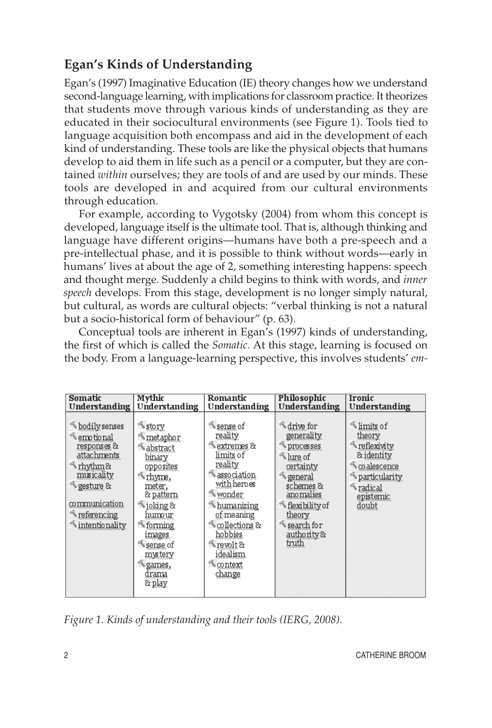# **Egan's Kinds of Understanding**

Egan's (1997) Imaginative Education (IE) theory changes how we understand second-language learning, with implications for classroom practice. It theorizes that students move through various kinds of understanding as they are educated in their sociocultural environments (see Figure 1). Tools tied to language acquisition both encompass and aid in the development of each kind of understanding. These tools are like the physical objects that humans develop to aid them in life such as a pencil or a computer, but they are contained *within* ourselves; they are tools of and are used by our minds. These tools are developed in and acquired from our cultural environments through education.

For example, according to Vygotsky (2004) from whom this concept is developed, language itself is the ultimate tool. That is, although thinking and language have different origins—humans have both a pre-speech and a pre-intellectual phase, and it is possible to think without words—early in humans' lives at about the age of 2, something interesting happens: speech and thought merge. Suddenly a child begins to think with words, and *inner speech* develops. From this stage, development is no longer simply natural, but cultural, as words are cultural objects: "verbal thinking is not a natural but a socio-historical form of behaviour" (p. 63).

Conceptual tools are inherent in Egan's (1997) kinds of understanding, the first of which is called the *Somatic*. At this stage, learning is focused on the body. From a language-learning perspective, this involves students' *em-*

| Somatic                                                                                                                                                                                | Mythic                                                                                                                                                                                                           | Romantic                                                                                                                                                                                                                                    | Philosophic                                                                                                                                                                                             | Ironic                                                                                                                                                   |
|----------------------------------------------------------------------------------------------------------------------------------------------------------------------------------------|------------------------------------------------------------------------------------------------------------------------------------------------------------------------------------------------------------------|---------------------------------------------------------------------------------------------------------------------------------------------------------------------------------------------------------------------------------------------|---------------------------------------------------------------------------------------------------------------------------------------------------------------------------------------------------------|----------------------------------------------------------------------------------------------------------------------------------------------------------|
| Understanding                                                                                                                                                                          | Understanding                                                                                                                                                                                                    | Understanding                                                                                                                                                                                                                               | Understanding                                                                                                                                                                                           | Understanding                                                                                                                                            |
| bodily senses<br><b>Emptional</b><br>responses &<br>attachments<br>$\Lambda$ rhythm&<br>musicality<br>¶gesture &<br>communication<br><wreferencing<br>intentionality</wreferencing<br> | <i>istory</i><br>metaphor<br>abstract<br>binary<br>opposites<br>thyme,<br>meter,<br>& pattern<br>$\leq$ joking &<br>humour<br>forming<br>images<br>sense of<br>mystery<br><sup>₹</sup> games,<br>drama<br>& play | Sense of<br>reality<br>extremes &<br>limits of<br>reality<br>association<br>with heroes<br><wonder<br>humanizing<br/>of meaning<br/><b>Scollections</b> &amp;<br/>hobbies<br/>Trevolt &amp;<br/>idealism<br/>context<br/>change</wonder<br> | ₹ drive for<br>generality<br>processes<br>$\mathbb{Z}$ lure of<br>certainty<br><i><u><b>S</b>general</u></i><br>schemes &<br>ano malies<br><br>flexibility of<br>theory<br>Search for<br>authority&<br> | <b>Whimits</b> of<br>theory<br><b>Exivity</b><br>& identity<br>$\mathcal{R}$ co alescence<br><b>Instrumently</b><br><b>Tadical</b><br>epistemic<br>doubt |

*Figure 1. Kinds of understanding and their tools (IERG, 2008).*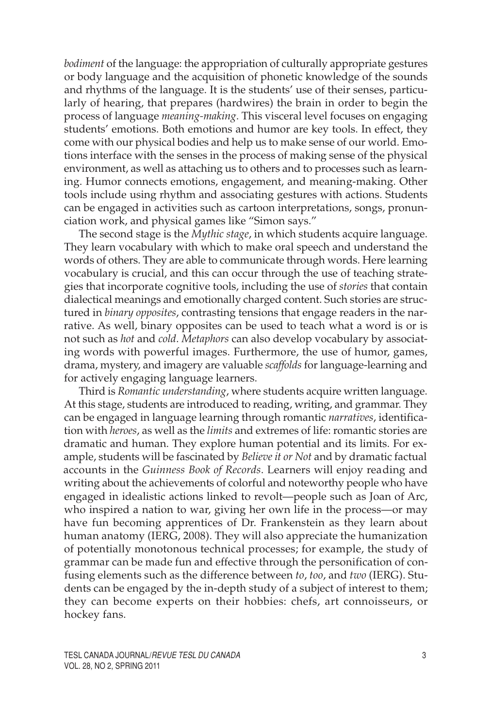*bodiment* of the language: the appropriation of culturally appropriate gestures or body language and the acquisition of phonetic knowledge of the sounds and rhythms of the language. It is the students' use of their senses, particularly of hearing, that prepares (hardwires) the brain in order to begin the process of language *meaning-making*. This visceral level focuses on engaging students' emotions. Both emotions and humor are key tools. In effect, they come with our physical bodies and help us to make sense of our world. Emotions interface with the senses in the process of making sense of the physical environment, as well as attaching us to others and to processes such as learning. Humor connects emotions, engagement, and meaning-making. Other tools include using rhythm and associating gestures with actions. Students can be engaged in activities such as cartoon interpretations, songs, pronunciation work, and physical games like "Simon says."

The second stage is the *Mythic stage*, in which students acquire language. They learn vocabulary with which to make oral speech and understand the words of others. They are able to communicate through words. Here learning vocabulary is crucial, and this can occur through the use of teaching strategies that incorporate cognitive tools, including the use of *stories* that contain dialectical meanings and emotionally charged content. Such stories are structured in *binary opposites*, contrasting tensions that engage readers in the narrative. As well, binary opposites can be used to teach what a word is or is not such as *hot* and *cold*. *Metaphors* can also develop vocabulary by associating words with powerful images. Furthermore, the use of humor, games, drama, mystery, and imagery are valuable *scaffolds* for language-learning and for actively engaging language learners.

Third is *Romantic understanding*, where students acquire written language. At this stage, students are introduced to reading, writing, and grammar. They can be engaged in language learning through romantic *narratives*, identification with *heroes*, as well as the *limits* and extremes of life: romantic stories are dramatic and human. They explore human potential and its limits. For example, students will be fascinated by *Believe it or Not* and by dramatic factual accounts in the *Guinness Book of Records*. Learners will enjoy reading and writing about the achievements of colorful and noteworthy people who have engaged in idealistic actions linked to revolt—people such as Joan of Arc, who inspired a nation to war, giving her own life in the process—or may have fun becoming apprentices of Dr. Frankenstein as they learn about human anatomy (IERG, 2008). They will also appreciate the humanization of potentially monotonous technical processes; for example, the study of grammar can be made fun and effective through the personification of confusing elements such as the difference between *to*, *too*, and *two* (IERG). Students can be engaged by the in-depth study of a subject of interest to them; they can become experts on their hobbies: chefs, art connoisseurs, or hockey fans.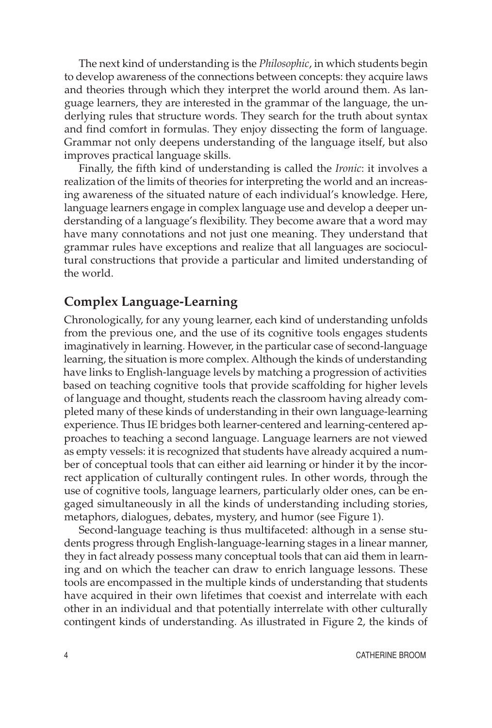The next kind of understanding is the *Philosophic*, in which students begin to develop awareness of the connections between concepts: they acquire laws and theories through which they interpret the world around them. As language learners, they are interested in the grammar of the language, the underlying rules that structure words. They search for the truth about syntax and find comfort in formulas. They enjoy dissecting the form of language. Grammar not only deepens understanding of the language itself, but also improves practical language skills.

Finally, the fifth kind of understanding is called the *Ironic*: it involves a realization of the limits of theories for interpreting the world and an increasing awareness of the situated nature of each individual's knowledge. Here, language learners engage in complex language use and develop a deeper understanding of a language's flexibility. They become aware that a word may have many connotations and not just one meaning. They understand that grammar rules have exceptions and realize that all languages are sociocultural constructions that provide a particular and limited understanding of the world.

#### **Complex Language-Learning**

Chronologically, for any young learner, each kind of understanding unfolds from the previous one, and the use of its cognitive tools engages students imaginatively in learning. However, in the particular case of second-language learning, the situation is more complex. Although the kinds of understanding have links to English-language levels by matching a progression of activities based on teaching cognitive tools that provide scaffolding for higher levels of language and thought, students reach the classroom having already completed many of these kinds of understanding in their own language-learning experience. Thus IE bridges both learner-centered and learning-centered approaches to teaching a second language. Language learners are not viewed as empty vessels: it is recognized that students have already acquired a number of conceptual tools that can either aid learning or hinder it by the incorrect application of culturally contingent rules. In other words, through the use of cognitive tools, language learners, particularly older ones, can be engaged simultaneously in all the kinds of understanding including stories, metaphors, dialogues, debates, mystery, and humor (see Figure 1).

Second-language teaching is thus multifaceted: although in a sense students progress through English-language-learning stages in a linear manner, they in fact already possess many conceptual tools that can aid them in learning and on which the teacher can draw to enrich language lessons. These tools are encompassed in the multiple kinds of understanding that students have acquired in their own lifetimes that coexist and interrelate with each other in an individual and that potentially interrelate with other culturally contingent kinds of understanding. As illustrated in Figure 2, the kinds of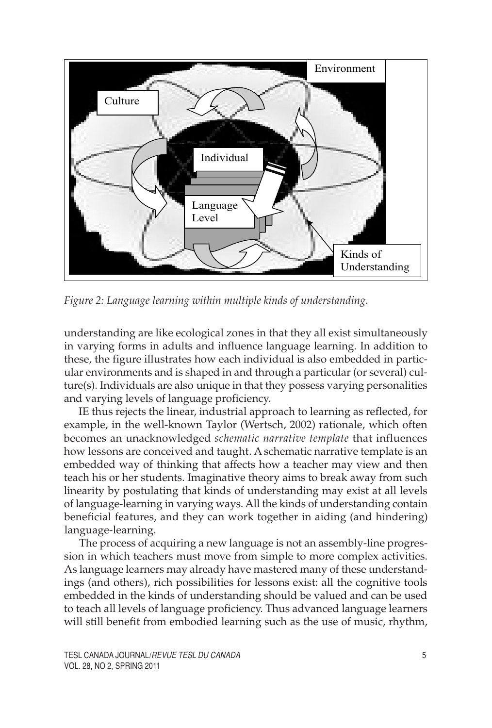

*Figure 2: Language learning within multiple kinds of understanding.*

understanding are like ecological zones in that they all exist simultaneously in varying forms in adults and influence language learning. In addition to these, the figure illustrates how each individual is also embedded in particular environments and is shaped in and through a particular (or several) culture(s). Individuals are also unique in that they possess varying personalities and varying levels of language proficiency.

IE thus rejects the linear, industrial approach to learning as reflected, for example, in the well-known Taylor (Wertsch, 2002) rationale, which often becomes an unacknowledged *schematic narrative template* that influences how lessons are conceived and taught. A schematic narrative template is an embedded way of thinking that affects how a teacher may view and then teach his or her students. Imaginative theory aims to break away from such linearity by postulating that kinds of understanding may exist at all levels of language-learning in varying ways. All the kinds of understanding contain beneficial features, and they can work together in aiding (and hindering) language-learning.

The process of acquiring a new language is not an assembly-line progression in which teachers must move from simple to more complex activities. As language learners may already have mastered many of these understandings (and others), rich possibilities for lessons exist: all the cognitive tools embedded in the kinds of understanding should be valued and can be used to teach all levels of language proficiency. Thus advanced language learners will still benefit from embodied learning such as the use of music, rhythm,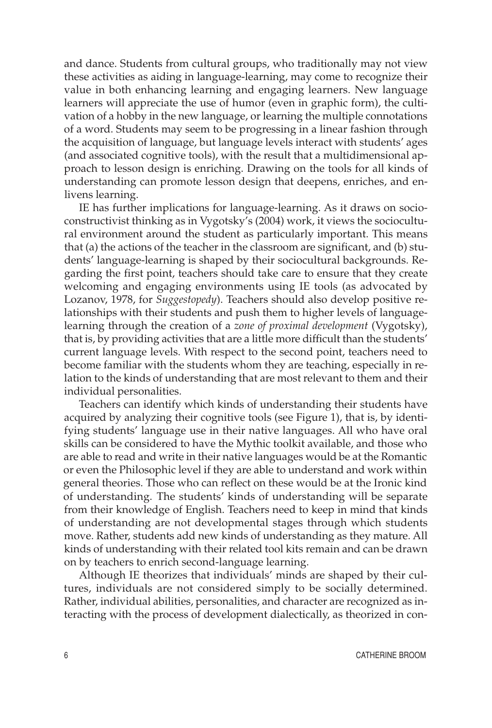and dance. Students from cultural groups, who traditionally may not view these activities as aiding in language-learning, may come to recognize their value in both enhancing learning and engaging learners. New language learners will appreciate the use of humor (even in graphic form), the cultivation of a hobby in the new language, or learning the multiple connotations of a word. Students may seem to be progressing in a linear fashion through the acquisition of language, but language levels interact with students' ages (and associated cognitive tools), with the result that a multidimensional approach to lesson design is enriching. Drawing on the tools for all kinds of understanding can promote lesson design that deepens, enriches, and enlivens learning.

IE has further implications for language-learning. As it draws on socioconstructivist thinking as in Vygotsky's (2004) work, it views the sociocultural environment around the student as particularly important. This means that (a) the actions of the teacher in the classroom are significant, and (b) students' language-learning is shaped by their sociocultural backgrounds. Regarding the first point, teachers should take care to ensure that they create welcoming and engaging environments using IE tools (as advocated by Lozanov, 1978, for *Suggestopedy*). Teachers should also develop positive relationships with their students and push them to higher levels of languagelearning through the creation of a *zone of proximal development* (Vygotsky), that is, by providing activities that are a little more difficult than the students' current language levels. With respect to the second point, teachers need to become familiar with the students whom they are teaching, especially in relation to the kinds of understanding that are most relevant to them and their individual personalities.

Teachers can identify which kinds of understanding their students have acquired by analyzing their cognitive tools (see Figure 1), that is, by identifying students' language use in their native languages. All who have oral skills can be considered to have the Mythic toolkit available, and those who are able to read and write in their native languages would be at the Romantic or even the Philosophic level if they are able to understand and work within general theories. Those who can reflect on these would be at the Ironic kind of understanding. The students' kinds of understanding will be separate from their knowledge of English. Teachers need to keep in mind that kinds of understanding are not developmental stages through which students move. Rather, students add new kinds of understanding as they mature. All kinds of understanding with their related tool kits remain and can be drawn on by teachers to enrich second-language learning.

Although IE theorizes that individuals' minds are shaped by their cultures, individuals are not considered simply to be socially determined. Rather, individual abilities, personalities, and character are recognized as interacting with the process of development dialectically, as theorized in con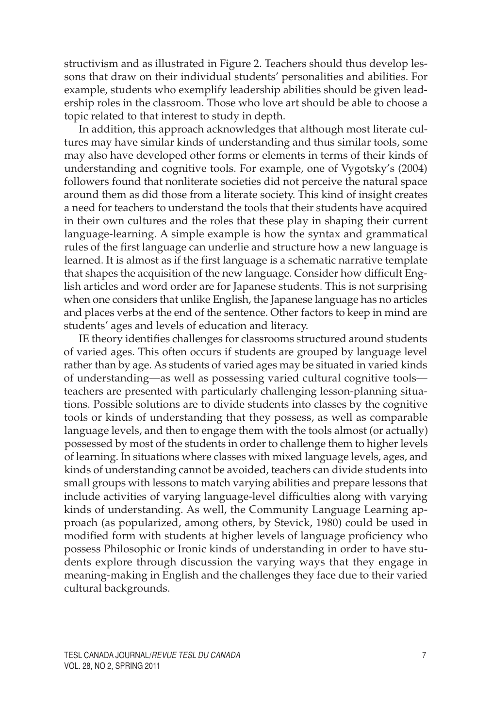structivism and as illustrated in Figure 2. Teachers should thus develop lessons that draw on their individual students' personalities and abilities. For example, students who exemplify leadership abilities should be given leadership roles in the classroom. Those who love art should be able to choose a topic related to that interest to study in depth.

In addition, this approach acknowledges that although most literate cultures may have similar kinds of understanding and thus similar tools, some may also have developed other forms or elements in terms of their kinds of understanding and cognitive tools. For example, one of Vygotsky's (2004) followers found that nonliterate societies did not perceive the natural space around them as did those from a literate society. This kind of insight creates a need for teachers to understand the tools that their students have acquired in their own cultures and the roles that these play in shaping their current language-learning. A simple example is how the syntax and grammatical rules of the first language can underlie and structure how a new language is learned. It is almost as if the first language is a schematic narrative template that shapes the acquisition of the new language. Consider how difficult English articles and word order are for Japanese students. This is not surprising when one considers that unlike English, the Japanese language has no articles and places verbs at the end of the sentence. Other factors to keep in mind are students' ages and levels of education and literacy.

IE theory identifies challenges for classrooms structured around students of varied ages. This often occurs if students are grouped by language level rather than by age. As students of varied ages may be situated in varied kinds of understanding—as well as possessing varied cultural cognitive tools teachers are presented with particularly challenging lesson-planning situations. Possible solutions are to divide students into classes by the cognitive tools or kinds of understanding that they possess, as well as comparable language levels, and then to engage them with the tools almost (or actually) possessed by most of the students in order to challenge them to higher levels of learning. In situations where classes with mixed language levels, ages, and kinds of understanding cannot be avoided, teachers can divide students into small groups with lessons to match varying abilities and prepare lessons that include activities of varying language-level difficulties along with varying kinds of understanding. As well, the Community Language Learning approach (as popularized, among others, by Stevick, 1980) could be used in modified form with students at higher levels of language proficiency who possess Philosophic or Ironic kinds of understanding in order to have students explore through discussion the varying ways that they engage in meaning-making in English and the challenges they face due to their varied cultural backgrounds.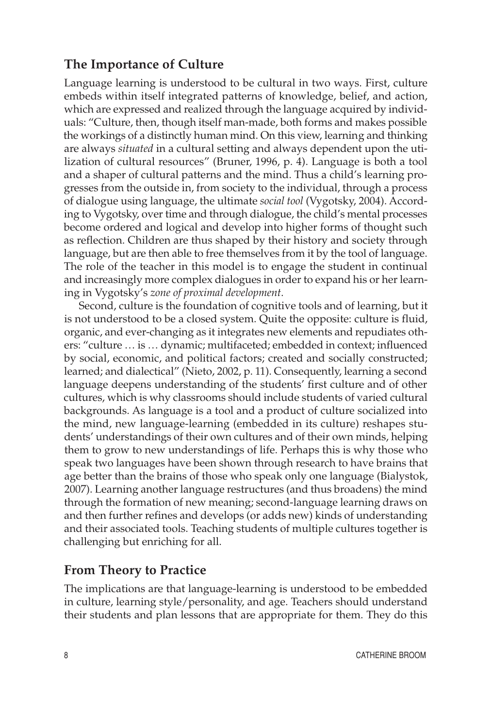## **The Importance of Culture**

Language learning is understood to be cultural in two ways. First, culture embeds within itself integrated patterns of knowledge, belief, and action, which are expressed and realized through the language acquired by individuals: "Culture, then, though itself man-made, both forms and makes possible the workings of a distinctly human mind. On this view, learning and thinking are always *situated* in a cultural setting and always dependent upon the utilization of cultural resources" (Bruner, 1996, p. 4). Language is both a tool and a shaper of cultural patterns and the mind. Thus a child's learning progresses from the outside in, from society to the individual, through a process of dialogue using language, the ultimate *social tool* (Vygotsky, 2004). According to Vygotsky, over time and through dialogue, the child's mental processes become ordered and logical and develop into higher forms of thought such as reflection. Children are thus shaped by their history and society through language, but are then able to free themselves from it by the tool of language. The role of the teacher in this model is to engage the student in continual and increasingly more complex dialogues in order to expand his or her learning in Vygotsky's *zone of proximal development*.

Second, culture is the foundation of cognitive tools and of learning, but it is not understood to be a closed system. Quite the opposite: culture is fluid, organic, and ever-changing as it integrates new elements and repudiates others: "culture … is … dynamic; multifaceted; embedded in context; influenced by social, economic, and political factors; created and socially constructed; learned; and dialectical" (Nieto, 2002, p. 11). Consequently, learning a second language deepens understanding of the students' first culture and of other cultures, which is why classrooms should include students of varied cultural backgrounds. As language is a tool and a product of culture socialized into the mind, new language-learning (embedded in its culture) reshapes students' understandings of their own cultures and of their own minds, helping them to grow to new understandings of life. Perhaps this is why those who speak two languages have been shown through research to have brains that age better than the brains of those who speak only one language (Bialystok, 2007). Learning another language restructures (and thus broadens) the mind through the formation of new meaning; second-language learning draws on and then further refines and develops (or adds new) kinds of understanding and their associated tools. Teaching students of multiple cultures together is challenging but enriching for all.

# **From Theory to Practice**

The implications are that language-learning is understood to be embedded in culture, learning style/personality, and age. Teachers should understand their students and plan lessons that are appropriate for them. They do this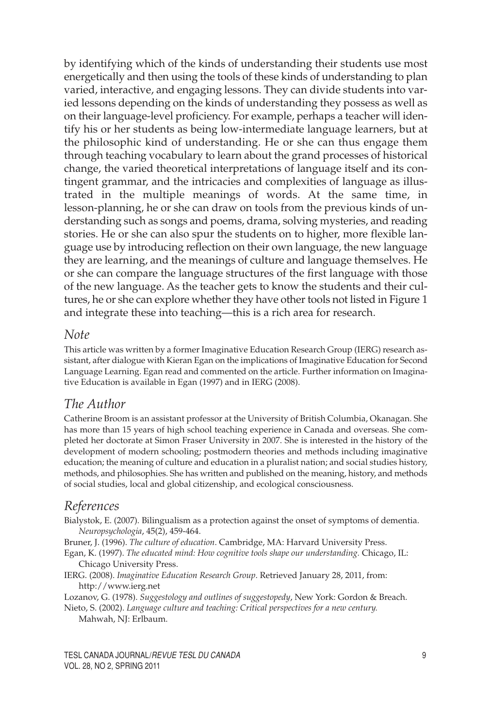by identifying which of the kinds of understanding their students use most energetically and then using the tools of these kinds of understanding to plan varied, interactive, and engaging lessons. They can divide students into varied lessons depending on the kinds of understanding they possess as well as on their language-level proficiency. For example, perhaps a teacher will identify his or her students as being low-intermediate language learners, but at the philosophic kind of understanding. He or she can thus engage them through teaching vocabulary to learn about the grand processes of historical change, the varied theoretical interpretations of language itself and its contingent grammar, and the intricacies and complexities of language as illustrated in the multiple meanings of words. At the same time, in lesson-planning, he or she can draw on tools from the previous kinds of understanding such as songs and poems, drama, solving mysteries, and reading stories. He or she can also spur the students on to higher, more flexible language use by introducing reflection on their own language, the new language they are learning, and the meanings of culture and language themselves. He or she can compare the language structures of the first language with those of the new language. As the teacher gets to know the students and their cultures, he or she can explore whether they have other tools not listed in Figure 1 and integrate these into teaching—this is a rich area for research.

#### *Note*

This article was written by a former Imaginative Education Research Group (IERG) research assistant, after dialogue with Kieran Egan on the implications of Imaginative Education for Second Language Learning. Egan read and commented on the article. Further information on Imaginative Education is available in Egan (1997) and in IERG (2008).

#### *The Author*

Catherine Broom is an assistant professor at the University of British Columbia, Okanagan. She has more than 15 years of high school teaching experience in Canada and overseas. She completed her doctorate at Simon Fraser University in 2007. She is interested in the history of the development of modern schooling; postmodern theories and methods including imaginative education; the meaning of culture and education in a pluralist nation; and social studies history, methods, and philosophies. She has written and published on the meaning, history, and methods of social studies, local and global citizenship, and ecological consciousness.

### *References*

Bialystok, E. (2007). Bilingualism as a protection against the onset of symptoms of dementia. *Neuropsychologia*, 45(2), 459-464.

Bruner, J. (1996). *The culture of education*. Cambridge, MA: Harvard University Press.

Egan, K. (1997). *The educated mind: How cognitive tools shape our understanding.* Chicago, IL: Chicago University Press.

IERG. (2008). *Imaginative Education Research Group*. Retrieved January 28, 2011, from: http://www.ierg.net

Lozanov, G. (1978). *Suggestology and outlines of suggestopedy*, New York: Gordon & Breach.

Nieto, S. (2002). *Language culture and teaching: Critical perspectives for a new century.* Mahwah, NJ: Erlbaum.

TESL CANADA JOURNAL/*REVUE TESL DU CANADA* 9 VOL. 28, NO 2, SPRING 2011